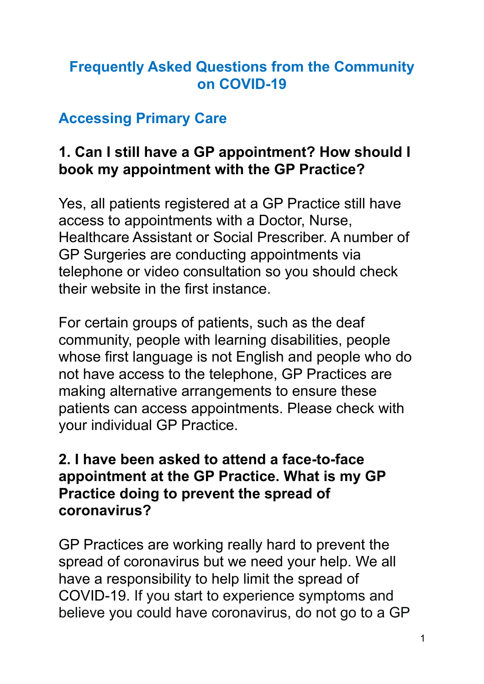### **Frequently Asked Questions from the Community on COVID-19**

## **Accessing Primary Care**

## **1. Can I still have a GP appointment? How should I book my appointment with the GP Practice?**

Yes, all patients registered at a GP Practice still have access to appointments with a Doctor, Nurse, Healthcare Assistant or Social Prescriber. A number of GP Surgeries are conducting appointments via telephone or video consultation so you should check their website in the first instance.

For certain groups of patients, such as the deaf community, people with learning disabilities, people whose first language is not English and people who do not have access to the telephone, GP Practices are making alternative arrangements to ensure these patients can access appointments. Please check with your individual GP Practice.

### **2. I have been asked to attend a face-to-face appointment at the GP Practice. What is my GP Practice doing to prevent the spread of coronavirus?**

GP Practices are working really hard to prevent the spread of coronavirus but we need your help. We all have a responsibility to help limit the spread of COVID-19. If you start to experience symptoms and believe you could have coronavirus, do not go to a GP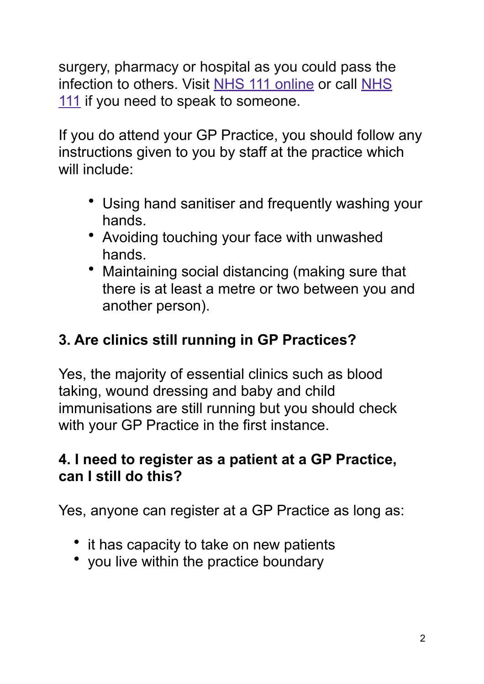surgery, pharmacy or hospital as you could pass the infection to others. Visit [NHS 111 online](https://111.nhs.uk/covid-19/) or call [NHS](https://www.nhs.uk/using-the-nhs/nhs-services/urgent-and-emergency-care/nhs-111/)  [111](https://www.nhs.uk/using-the-nhs/nhs-services/urgent-and-emergency-care/nhs-111/) if you need to speak to someone.

If you do attend your GP Practice, you should follow any instructions given to you by staff at the practice which will include:

- Using hand sanitiser and frequently washing your hands.
- Avoiding touching your face with unwashed hands.
- Maintaining social distancing (making sure that there is at least a metre or two between you and another person).

## **3. Are clinics still running in GP Practices?**

Yes, the majority of essential clinics such as blood taking, wound dressing and baby and child immunisations are still running but you should check with your GP Practice in the first instance.

## **4. I need to register as a patient at a GP Practice, can I still do this?**

Yes, anyone can register at a GP Practice as long as:

- it has capacity to take on new patients
- you live within the practice boundary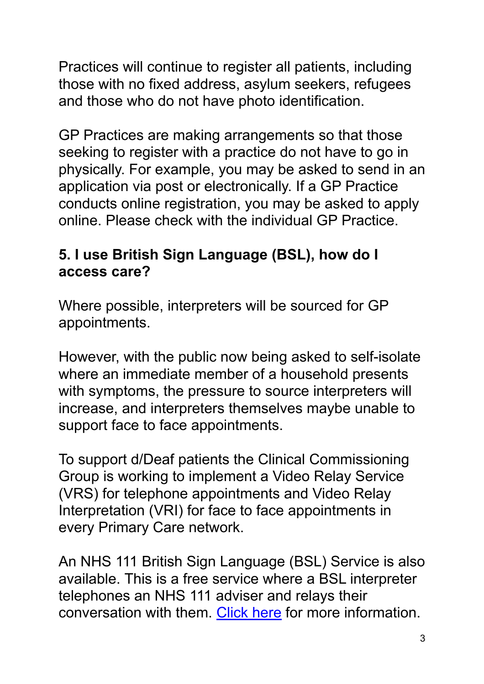Practices will continue to register all patients, including those with no fixed address, asylum seekers, refugees and those who do not have photo identification.

GP Practices are making arrangements so that those seeking to register with a practice do not have to go in physically. For example, you may be asked to send in an application via post or electronically. If a GP Practice conducts online registration, you may be asked to apply online. Please check with the individual GP Practice.

### **5. I use British Sign Language (BSL), how do I access care?**

Where possible, interpreters will be sourced for GP appointments.

However, with the public now being asked to self-isolate where an immediate member of a household presents with symptoms, the pressure to source interpreters will increase, and interpreters themselves maybe unable to support face to face appointments.

To support d/Deaf patients the Clinical Commissioning Group is working to implement a Video Relay Service (VRS) for telephone appointments and Video Relay Interpretation (VRI) for face to face appointments in every Primary Care network.

An NHS 111 British Sign Language (BSL) Service is also available. This is a free service where a BSL interpreter telephones an NHS 111 adviser and relays their conversation with them. [Click here](https://interpreternow.co.uk/nhs111) for more information.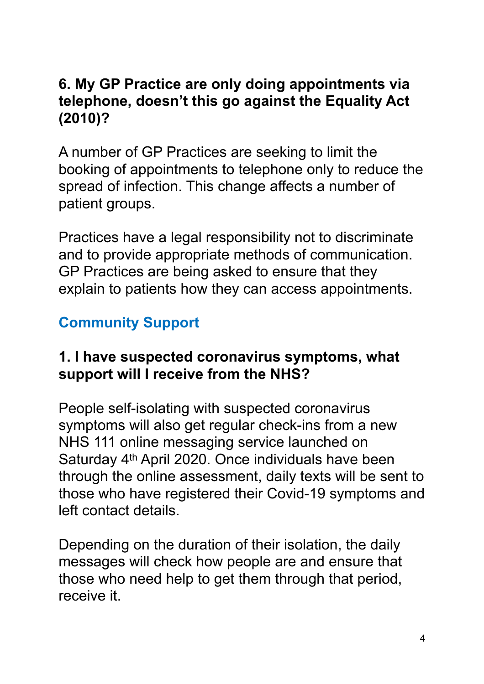### **6. My GP Practice are only doing appointments via telephone, doesn't this go against the Equality Act (2010)?**

A number of GP Practices are seeking to limit the booking of appointments to telephone only to reduce the spread of infection. This change affects a number of patient groups.

Practices have a legal responsibility not to discriminate and to provide appropriate methods of communication. GP Practices are being asked to ensure that they explain to patients how they can access appointments.

## **Community Support**

### **1. I have suspected coronavirus symptoms, what support will I receive from the NHS?**

People self-isolating with suspected coronavirus symptoms will also get regular check-ins from a new NHS 111 online messaging service launched on Saturday 4th April 2020. Once individuals have been through the online assessment, daily texts will be sent to those who have registered their Covid-19 symptoms and left contact details.

Depending on the duration of their isolation, the daily messages will check how people are and ensure that those who need help to get them through that period, receive it.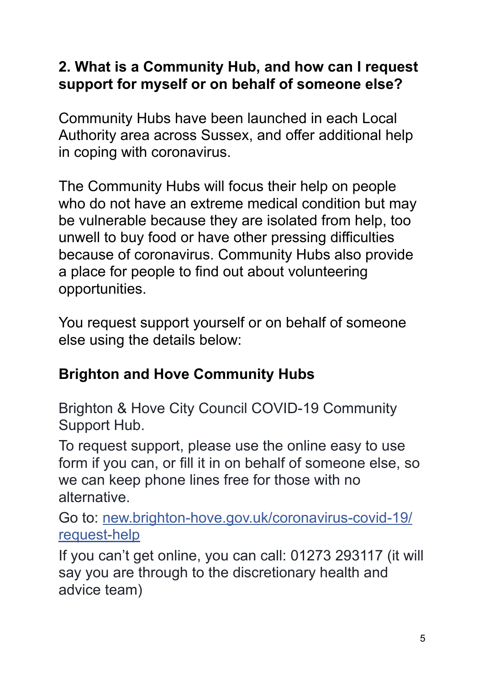## **2. What is a Community Hub, and how can I request support for myself or on behalf of someone else?**

Community Hubs have been launched in each Local Authority area across Sussex, and offer additional help in coping with coronavirus.

The Community Hubs will focus their help on people who do not have an extreme medical condition but may be vulnerable because they are isolated from help, too unwell to buy food or have other pressing difficulties because of coronavirus. Community Hubs also provide a place for people to find out about volunteering opportunities.

You request support yourself or on behalf of someone else using the details below:

## **Brighton and Hove Community Hubs**

Brighton & Hove City Council COVID-19 Community Support Hub.

To request support, please use the online easy to use form if you can, or fill it in on behalf of someone else, so we can keep phone lines free for those with no alternative.

Go to: [new.brighton-hove.gov.uk/coronavirus-covid-19/](http://new.brighton-hove.gov.uk/coronavirus-covid-19/request-help?fbclid=IwAR2ZMjoG7xP88SHoW2_p6Z9POiCfjgpYLLit6KFnfhB1qQx3MIk5xE2teGg) [request-help](http://new.brighton-hove.gov.uk/coronavirus-covid-19/request-help?fbclid=IwAR2ZMjoG7xP88SHoW2_p6Z9POiCfjgpYLLit6KFnfhB1qQx3MIk5xE2teGg)

If you can't get online, you can call: 01273 293117 (it will say you are through to the discretionary health and advice team)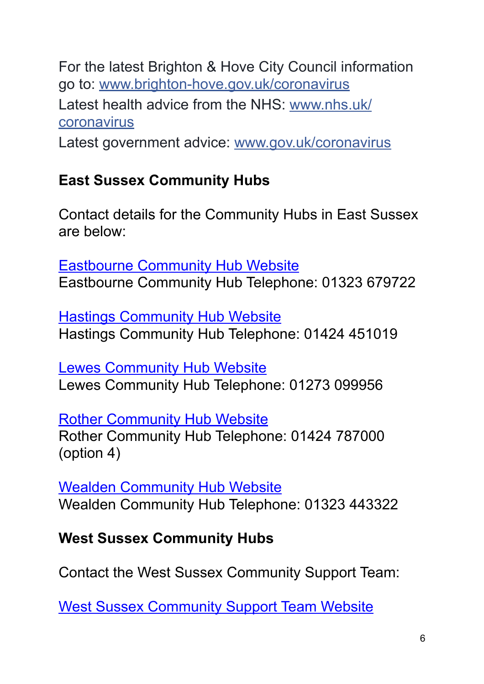For the latest Brighton & Hove City Council information go to: [www.brighton-hove.gov.uk/coronavirus](https://l.facebook.com/l.php?u=http%253A%252F%252Fwww.brighton-hove.gov.uk%252Fcoronavirus%253Ffbclid%253DIwAR0XxX_nqhoMyf2WRydvXL12b9JLkncpjrS1jE1V3nAZMLrON5uMtKZOFEw&h=AT0t7VCB5otN6eghWLi0cQ4ZvCSb77M5c5teywWBvcYUuhIDV3cB7BuNgPE4qGKN9JfMajzlEJaCrDjAuoG3X2MwrBy22jNKa3I5KY-ViaA1A_OYcSEkgBUGyNOi2o2Ei79ewQPSn8K_7K53Yi0BdT1tLigV) Latest health advice from the NHS: [www.nhs.uk/](http://www.nhs.uk/coronavirus?fbclid=IwAR23K-bVr-5oUgobiNvW5Pb5BHtja6K77IKZ3WLqbEEJ9HEUUFMLp8jT-Tg) [coronavirus](http://www.nhs.uk/coronavirus?fbclid=IwAR23K-bVr-5oUgobiNvW5Pb5BHtja6K77IKZ3WLqbEEJ9HEUUFMLp8jT-Tg)

Latest government advice: [www.gov.uk/coronavirus](https://l.facebook.com/l.php?u=https%253A%252F%252Fwww.gov.uk%252Fcoronavirus%253Ffbclid%253DIwAR3-msPZIY9QQPcOYYrH1GTge331Jakl8Whi0pvALQDElO2UKxGml5J_0HQ&h=AT0rYLz7xNfCzld4K9bfzUivjEb5CCFW1sLf-zj-BqHvPfzNT1clsjbCeLRu0UihsoTsPBjSWt8FCCcIiLrLhoqLjlkP5f0r_l8QXN0kF6Pkx3khk5CetMCvPSLiUCofPomE8zA_F5Sq20yOltvHJ2Jzjfl0)

## **East Sussex Community Hubs**

Contact details for the Community Hubs in East Sussex are below:

[Eastbourne Community Hub Website](https://www.lewes-eastbourne.gov.uk/community/covid-19/)  Eastbourne Community Hub Telephone: 01323 679722

**[Hastings Community Hub Website](https://www.hastings.gov.uk/my-council/covid19/help/)** Hastings Community Hub Telephone: 01424 451019

[Lewes Community Hub Website](https://www.lewes-eastbourne.gov.uk/community/covid-19/)  Lewes Community Hub Telephone: 01273 099956

[Rother Community Hub Website](https://www.rother.gov.uk/news/coronavirus-covid-19-community-support/)  Rother Community Hub Telephone: 01424 787000 (option 4)

[Wealden Community Hub Website](https://www.wealden.gov.uk/news-and-events/coronavirus-covid-19-latest/community-support/) Wealden Community Hub Telephone: 01323 443322

## **West Sussex Community Hubs**

Contact the West Sussex Community Support Team:

[West Sussex Community Support Team Website](https://www.westsussex.gov.uk/leisure-recreation-and-community/supporting-local-communities/community-hub-covid-19/#overview)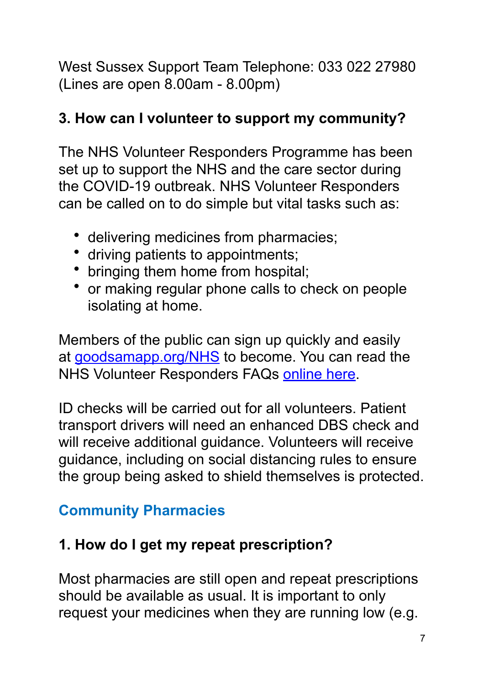West Sussex Support Team Telephone: 033 022 27980 (Lines are open 8.00am - 8.00pm)

## **3. How can I volunteer to support my community?**

The NHS Volunteer Responders Programme has been set up to support the NHS and the care sector during the COVID-19 outbreak. NHS Volunteer Responders can be called on to do simple but vital tasks such as:

- delivering medicines from pharmacies;
- driving patients to appointments;
- bringing them home from hospital;
- or making regular phone calls to check on people isolating at home.

Members of the public can sign up quickly and easily at [goodsamapp.org/NHS](https://www.goodsamapp.org/NHS) to become. You can read the NHS Volunteer Responders FAQs [online here](https://www.goodsamapp.org/assets/pdf/GoodSAMNHSVolunteerinFAQs.pdf).

ID checks will be carried out for all volunteers. Patient transport drivers will need an enhanced DBS check and will receive additional guidance. Volunteers will receive guidance, including on social distancing rules to ensure the group being asked to shield themselves is protected.

# **Community Pharmacies**

# **1. How do I get my repeat prescription?**

Most pharmacies are still open and repeat prescriptions should be available as usual. It is important to only request your medicines when they are running low (e.g.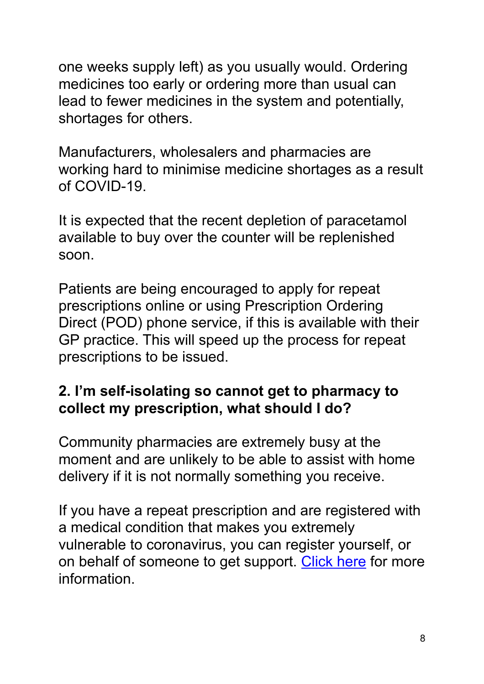one weeks supply left) as you usually would. Ordering medicines too early or ordering more than usual can lead to fewer medicines in the system and potentially, shortages for others.

Manufacturers, wholesalers and pharmacies are working hard to minimise medicine shortages as a result of COVID-19.

It is expected that the recent depletion of paracetamol available to buy over the counter will be replenished soon.

Patients are being encouraged to apply for repeat prescriptions online or using Prescription Ordering Direct (POD) phone service, if this is available with their GP practice. This will speed up the process for repeat prescriptions to be issued.

### **2. I'm self-isolating so cannot get to pharmacy to collect my prescription, what should I do?**

Community pharmacies are extremely busy at the moment and are unlikely to be able to assist with home delivery if it is not normally something you receive.

If you have a repeat prescription and are registered with a medical condition that makes you extremely vulnerable to coronavirus, you can register yourself, or on behalf of someone to get support. [Click here](https://www.gov.uk/coronavirus-extremely-vulnerable) for more information.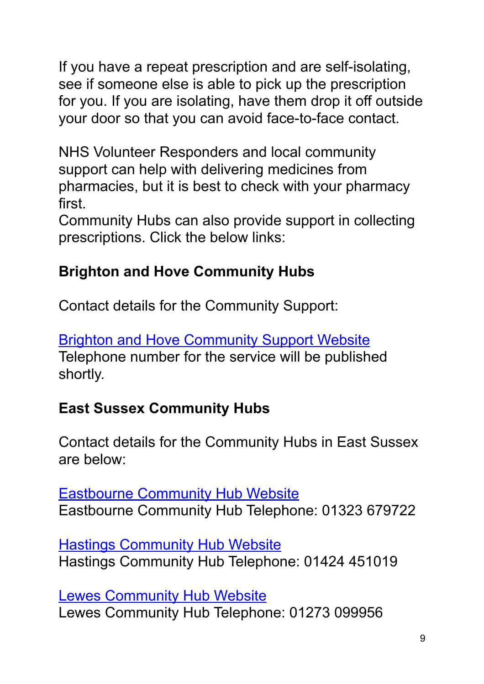If you have a repeat prescription and are self-isolating, see if someone else is able to pick up the prescription for you. If you are isolating, have them drop it off outside your door so that you can avoid face-to-face contact.

NHS Volunteer Responders and local community support can help with delivering medicines from pharmacies, but it is best to check with your pharmacy first.

Community Hubs can also provide support in collecting prescriptions. Click the below links:

## **Brighton and Hove Community Hubs**

Contact details for the Community Support:

[Brighton and Hove Community Support Website](https://new.brighton-hove.gov.uk/coronavirus-covid-19/request-help-yourself-or-someone-else) Telephone number for the service will be published shortly.

## **East Sussex Community Hubs**

Contact details for the Community Hubs in East Sussex are below:

[Eastbourne Community Hub Website](https://www.lewes-eastbourne.gov.uk/community/covid-19/)  Eastbourne Community Hub Telephone: 01323 679722

[Hastings Community Hub Website](https://www.hastings.gov.uk/my-council/covid19/help/) Hastings Community Hub Telephone: 01424 451019

**Lewes Community Hub Website** Lewes Community Hub Telephone: 01273 099956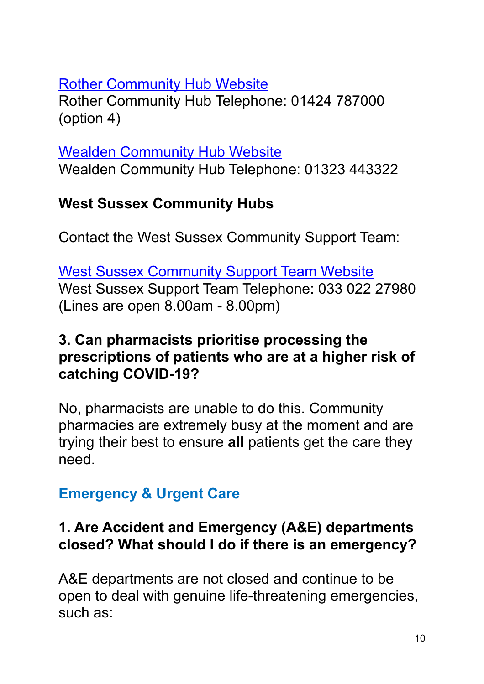#### [Rother Community Hub Website](https://www.rother.gov.uk/news/coronavirus-covid-19-community-support/)

Rother Community Hub Telephone: 01424 787000 (option 4)

[Wealden Community Hub Website](https://www.wealden.gov.uk/news-and-events/coronavirus-covid-19-latest/community-support/) Wealden Community Hub Telephone: 01323 443322

## **West Sussex Community Hubs**

Contact the West Sussex Community Support Team:

[West Sussex Community Support Team Website](https://www.westsussex.gov.uk/leisure-recreation-and-community/supporting-local-communities/community-hub-covid-19/#overview) West Sussex Support Team Telephone: 033 022 27980 (Lines are open 8.00am - 8.00pm)

### **3. Can pharmacists prioritise processing the prescriptions of patients who are at a higher risk of catching COVID-19?**

No, pharmacists are unable to do this. Community pharmacies are extremely busy at the moment and are trying their best to ensure **all** patients get the care they need.

## **Emergency & Urgent Care**

### **1. Are Accident and Emergency (A&E) departments closed? What should I do if there is an emergency?**

A&E departments are not closed and continue to be open to deal with genuine life-threatening emergencies, such as: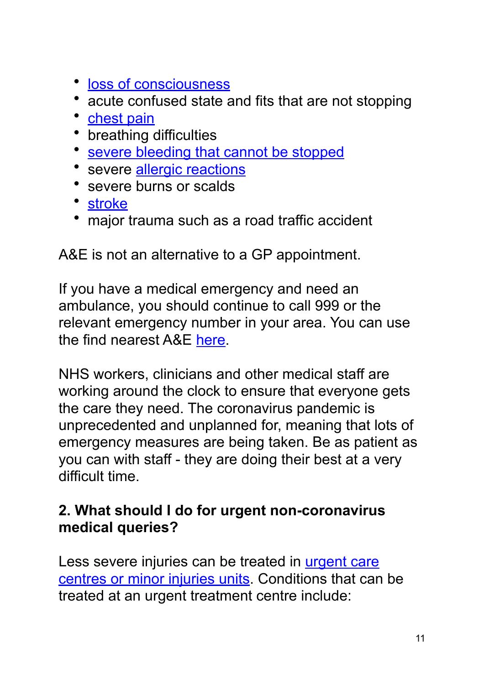- [loss of consciousness](https://www.nhs.uk/conditions/disorders-of-consciousness/causes/)
- acute confused state and fits that are not stopping
- [chest pain](https://www.nhs.uk/conditions/chest-pain/)
- breathing difficulties
- [severe bleeding that cannot be stopped](https://www.nhs.uk/conditions/first-aid/)
- severe [allergic reactions](https://www.nhs.uk/conditions/anaphylaxis/)
- severe burns or scalds
- [stroke](https://www.nhs.uk/conditions/stroke/)
- major trauma such as a road traffic accident

A&E is not an alternative to a GP appointment.

If you have a medical emergency and need an ambulance, you should continue to call 999 or the relevant emergency number in your area. You can use the find nearest A&E [here](https://www.nhs.uk/service-search/other-services/Accident-and-emergency-services/LocationSearch/428).

NHS workers, clinicians and other medical staff are working around the clock to ensure that everyone gets the care they need. The coronavirus pandemic is unprecedented and unplanned for, meaning that lots of emergency measures are being taken. Be as patient as you can with staff - they are doing their best at a very difficult time.

### **2. What should I do for urgent non-coronavirus medical queries?**

Less severe injuries can be treated in urgent care [centres or minor injuries units](https://www.nhs.uk/using-the-nhs/nhs-services/urgent-and-emergency-care/when-to-visit-an-urgent-care-centre/). Conditions that can be treated at an urgent treatment centre include: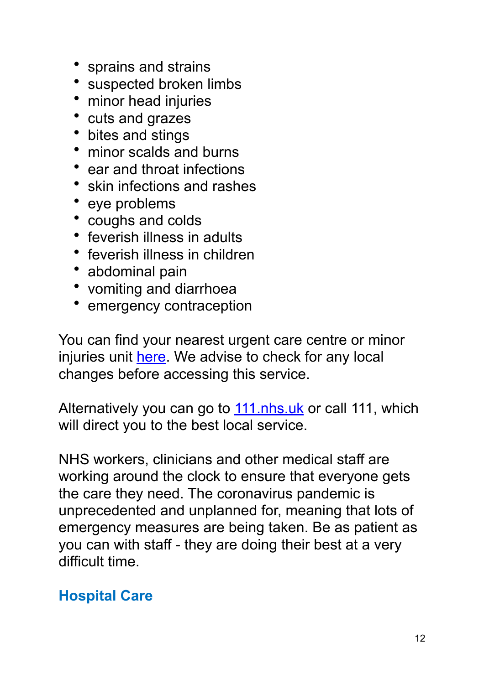- sprains and strains
- suspected broken limbs
- minor head injuries
- cuts and grazes
- bites and stings
- minor scalds and burns
- ear and throat infections
- skin infections and rashes
- eye problems
- coughs and colds
- feverish illness in adults
- feverish illness in children
- abdominal pain
- vomiting and diarrhoea
- emergency contraception

You can find your nearest urgent care centre or minor injuries unit [here](https://www.nhs.uk/service-search/other-services/Urgent%2520Care/LocationSearch/1824). We advise to check for any local changes before accessing this service.

Alternatively you can go to [111.nhs.uk](https://111.nhs.uk/?utm_source=nhsuk&utm_campaign=nhs_services&utm_content=when_to_go_to_ae) or call 111, which will direct you to the best local service.

NHS workers, clinicians and other medical staff are working around the clock to ensure that everyone gets the care they need. The coronavirus pandemic is unprecedented and unplanned for, meaning that lots of emergency measures are being taken. Be as patient as you can with staff - they are doing their best at a very difficult time.

## **Hospital Care**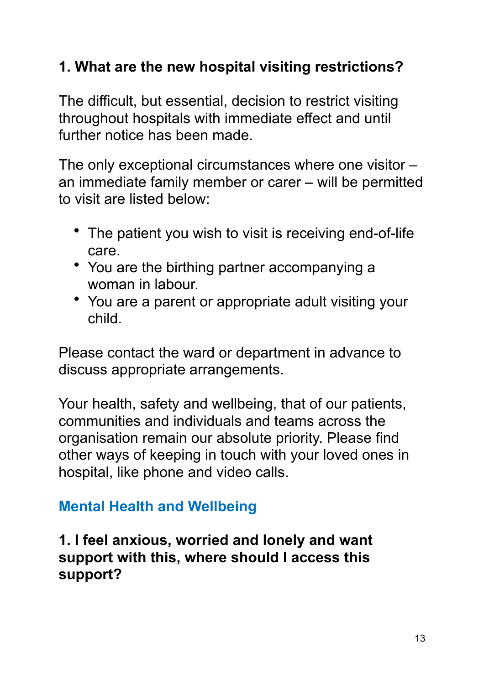## **1. What are the new hospital visiting restrictions?**

The difficult, but essential, decision to restrict visiting throughout hospitals with immediate effect and until further notice has been made.

The only exceptional circumstances where one visitor – an immediate family member or carer – will be permitted to visit are listed below:

- The patient you wish to visit is receiving end-of-life care.
- You are the birthing partner accompanying a woman in labour.
- You are a parent or appropriate adult visiting your child.

Please contact the ward or department in advance to discuss appropriate arrangements.

Your health, safety and wellbeing, that of our patients, communities and individuals and teams across the organisation remain our absolute priority. Please find other ways of keeping in touch with your loved ones in hospital, like phone and video calls.

## **Mental Health and Wellbeing**

**1. I feel anxious, worried and lonely and want support with this, where should I access this support?**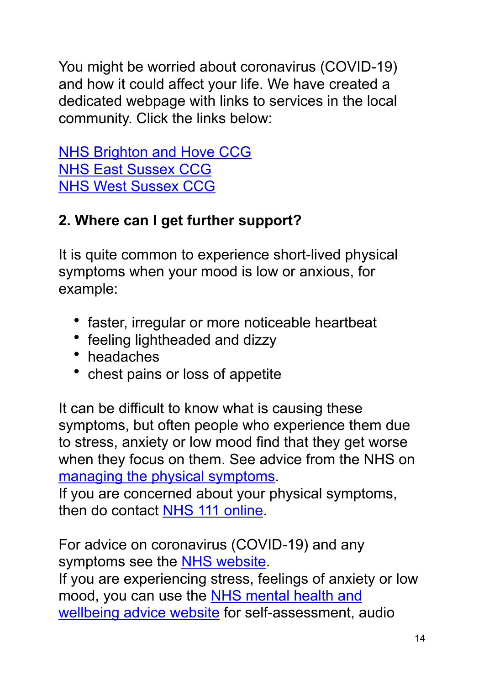You might be worried about coronavirus (COVID-19) and how it could affect your life. We have created a dedicated webpage with links to services in the local community. Click the links below:

[NHS Brighton and Hove CCG](https://www.brightonandhoveccg.nhs.uk/your-care/coronavirus-covid-19/) [NHS East Sussex CCG](https://www.eastsussexccg.nhs.uk/your-care/coronavirus-covid-19/) [NHS West Sussex CCG](https://www.westsussexccg.nhs.uk/) 

## **2. Where can I get further support?**

It is quite common to experience short-lived physical symptoms when your mood is low or anxious, for example:

- faster, irregular or more noticeable heartbeat
- feeling lightheaded and dizzy
- headaches
- chest pains or loss of appetite

It can be difficult to know what is causing these symptoms, but often people who experience them due to stress, anxiety or low mood find that they get worse when they focus on them. See advice from the NHS on [managing the physical symptoms](https://www.nhs.uk/conditions/stress-anxiety-depression/understanding-panic/).

If you are concerned about your physical symptoms, then do contact [NHS 111 online.](https://111.nhs.uk/)

For advice on coronavirus (COVID-19) and any symptoms see the **NHS website**.

If you are experiencing stress, feelings of anxiety or low mood, you can use the [NHS mental health and](https://www.nhs.uk/conditions/stress-anxiety-depression/)  [wellbeing advice website for self-assessment, a](https://www.nhs.uk/conditions/stress-anxiety-depression/)udio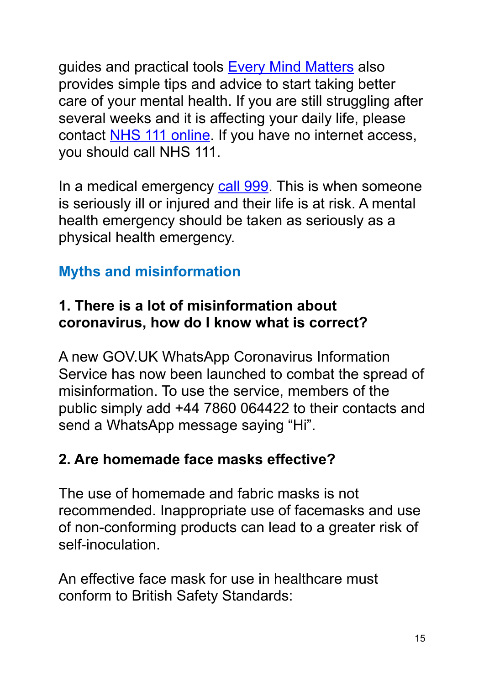guides and practical tools [Every Mind Matters](https://www.nhs.uk/oneyou/every-mind-matters/) also provides simple tips and advice to start taking better care of your mental health. If you are still struggling after several weeks and it is affecting your daily life, please contact [NHS 111 online](https://111.nhs.uk/). If you have no internet access, you should call NHS 111.

In a medical emergency [call 999](https://www.nhs.uk/using-the-nhs/nhs-services/urgent-and-emergency-care/when-to-call-999/). This is when someone is seriously ill or injured and their life is at risk. A mental health emergency should be taken as seriously as a physical health emergency.

## **Myths and misinformation**

#### **1. There is a lot of misinformation about coronavirus, how do I know what is correct?**

A new GOV.UK WhatsApp Coronavirus Information Service has now been launched to combat the spread of misinformation. To use the service, members of the public simply add +44 7860 064422 to their contacts and send a WhatsApp message saying "Hi".

### **2. Are homemade face masks effective?**

The use of homemade and fabric masks is not recommended. Inappropriate use of facemasks and use of non-conforming products can lead to a greater risk of self-inoculation.

An effective face mask for use in healthcare must conform to British Safety Standards: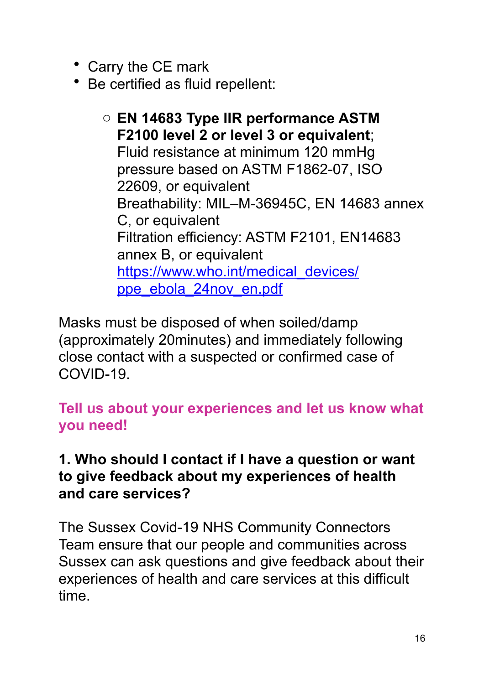- Carry the CE mark
- Be certified as fluid repellent:

o **EN 14683 Type IIR performance ASTM F2100 level 2 or level 3 or equivalent**; Fluid resistance at minimum 120 mmHg pressure based on ASTM F1862-07, ISO 22609, or equivalent Breathability: MIL–M-36945C, EN 14683 annex C, or equivalent Filtration efficiency: ASTM F2101, EN14683 annex B, or equivalent [https://www.who.int/medical\\_devices/](https://www.who.int/medical_devices/ppe_ebola_24nov_en.pdf) [ppe\\_ebola\\_24nov\\_en.pdf](https://www.who.int/medical_devices/ppe_ebola_24nov_en.pdf)

Masks must be disposed of when soiled/damp (approximately 20minutes) and immediately following close contact with a suspected or confirmed case of COVID-19.

**Tell us about your experiences and let us know what you need!** 

### **1. Who should I contact if I have a question or want to give feedback about my experiences of health and care services?**

The Sussex Covid-19 NHS Community Connectors Team ensure that our people and communities across Sussex can ask questions and give feedback about their experiences of health and care services at this difficult time.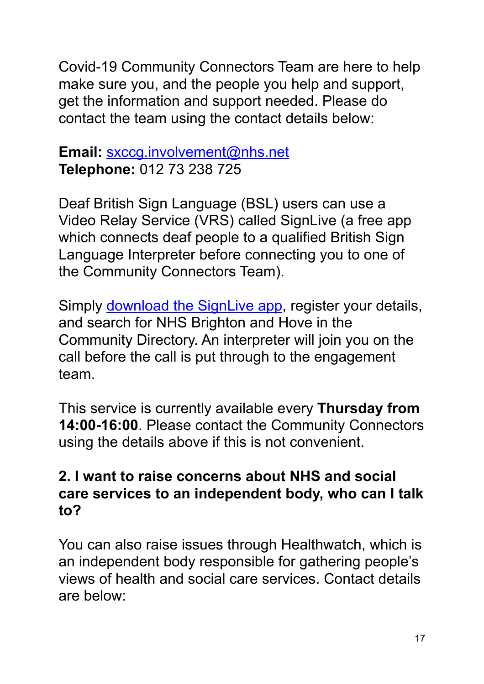Covid-19 Community Connectors Team are here to help make sure you, and the people you help and support, get the information and support needed. Please do contact the team using the contact details below:

#### **Email:** [sxccg.involvement@nhs.net](mailto:sxccg.involvement@nhs.net) **Telephone:** 012 73 238 725

Deaf British Sign Language (BSL) users can use a Video Relay Service (VRS) called SignLive (a free app which connects deaf people to a qualified British Sign Language Interpreter before connecting you to one of the Community Connectors Team).

Simply **download the SignLive app**, register your details, and search for NHS Brighton and Hove in the Community Directory. An interpreter will join you on the call before the call is put through to the engagement team.

This service is currently available every **Thursday from 14:00-16:00**. Please contact the Community Connectors using the details above if this is not convenient.

#### **2. I want to raise concerns about NHS and social care services to an independent body, who can I talk to?**

You can also raise issues through Healthwatch, which is an independent body responsible for gathering people's views of health and social care services. Contact details are below: